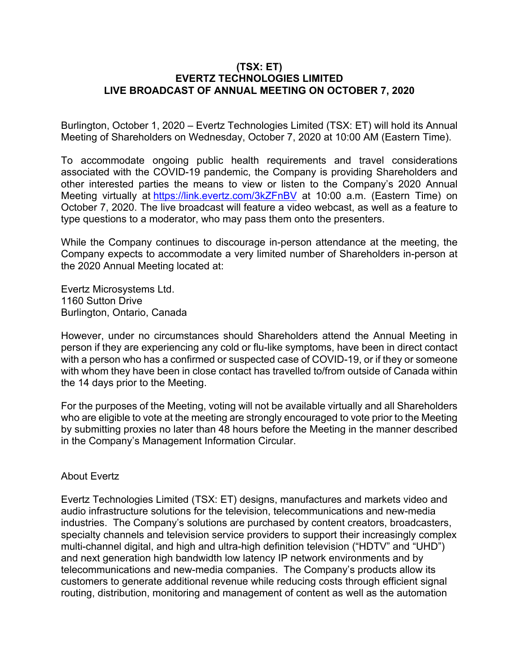## **(TSX: ET) EVERTZ TECHNOLOGIES LIMITED LIVE BROADCAST OF ANNUAL MEETING ON OCTOBER 7, 2020**

Burlington, October 1, 2020 – Evertz Technologies Limited (TSX: ET) will hold its Annual Meeting of Shareholders on Wednesday, October 7, 2020 at 10:00 AM (Eastern Time).

To accommodate ongoing public health requirements and travel considerations associated with the COVID-19 pandemic, the Company is providing Shareholders and other interested parties the means to view or listen to the Company's 2020 Annual Meeting virtually at https://link.evertz.com/3kZFnBV at 10:00 a.m. (Eastern Time) on October 7, 2020. The live broadcast will feature a video webcast, as well as a feature to type questions to a moderator, who may pass them onto the presenters.

While the Company continues to discourage in-person attendance at the meeting, the Company expects to accommodate a very limited number of Shareholders in-person at the 2020 Annual Meeting located at:

Evertz Microsystems Ltd. 1160 Sutton Drive Burlington, Ontario, Canada

However, under no circumstances should Shareholders attend the Annual Meeting in person if they are experiencing any cold or flu-like symptoms, have been in direct contact with a person who has a confirmed or suspected case of COVID-19, or if they or someone with whom they have been in close contact has travelled to/from outside of Canada within the 14 days prior to the Meeting.

For the purposes of the Meeting, voting will not be available virtually and all Shareholders who are eligible to vote at the meeting are strongly encouraged to vote prior to the Meeting by submitting proxies no later than 48 hours before the Meeting in the manner described in the Company's Management Information Circular.

## About Evertz

Evertz Technologies Limited (TSX: ET) designs, manufactures and markets video and audio infrastructure solutions for the television, telecommunications and new-media industries. The Company's solutions are purchased by content creators, broadcasters, specialty channels and television service providers to support their increasingly complex multi-channel digital, and high and ultra-high definition television ("HDTV" and "UHD") and next generation high bandwidth low latency IP network environments and by telecommunications and new-media companies. The Company's products allow its customers to generate additional revenue while reducing costs through efficient signal routing, distribution, monitoring and management of content as well as the automation